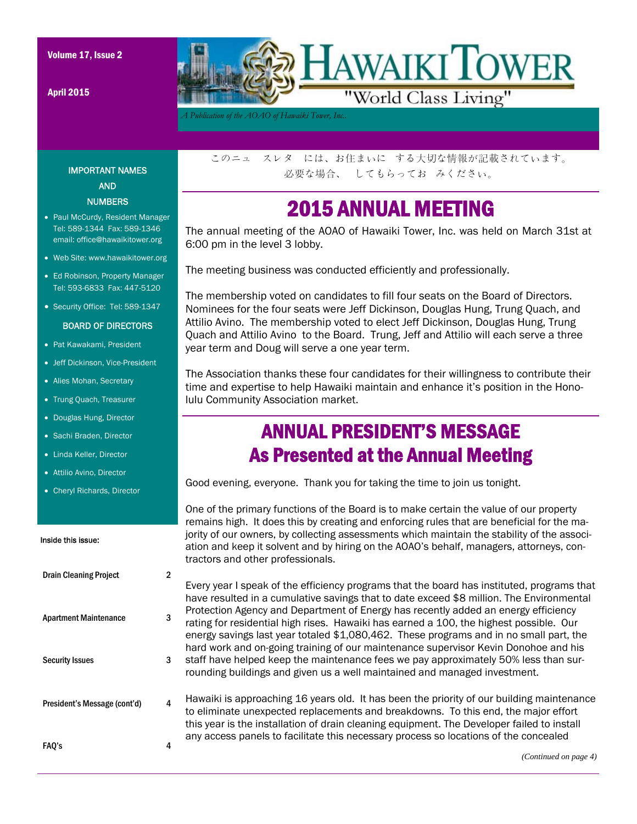Volume 17, Issue 2

April 2015



*A Publication of the AOAO of Hawaiki Tower, Inc..* 

IMPORTANT NAMES AND **NUMBERS** 

- Paul McCurdy, Resident Manager Tel: 589-1344 Fax: 589-1346 email: office@hawaikitower.org
- Web Site: www.hawaikitower.org
- Ed Robinson, Property Manager Tel: 593-6833 Fax: 447-5120
- Security Office: Tel: 589-1347

#### BOARD OF DIRECTORS

- Pat Kawakami, President
- Jeff Dickinson, Vice-President
- Alies Mohan, Secretary
- Trung Quach, Treasurer
- Douglas Hung, Director
- Sachi Braden, Director
- Linda Keller, Director
- Attilio Avino, Director
- Cheryl Richards, Director

#### Inside this issue:

| <b>Drain Cleaning Project</b> |   |
|-------------------------------|---|
| <b>Apartment Maintenance</b>  |   |
| <b>Security Issues</b>        |   |
| President's Message (cont'd)  | 4 |
| <b>FAQ's</b>                  |   |

このニュ スレタ には、お住まいに する大切な情報が記載されています。 必要な場合、 してもらってお みください。

### 2015 ANNUAL MEETING

The annual meeting of the AOAO of Hawaiki Tower, Inc. was held on March 31st at 6:00 pm in the level 3 lobby.

The meeting business was conducted efficiently and professionally.

The membership voted on candidates to fill four seats on the Board of Directors. Nominees for the four seats were Jeff Dickinson, Douglas Hung, Trung Quach, and Attilio Avino. The membership voted to elect Jeff Dickinson, Douglas Hung, Trung Quach and Attilio Avino to the Board. Trung, Jeff and Attilio will each serve a three year term and Doug will serve a one year term.

The Association thanks these four candidates for their willingness to contribute their time and expertise to help Hawaiki maintain and enhance it's position in the Honolulu Community Association market.

## ANNUAL PRESIDENT'S MESSAGE As Presented at the Annual Meeting

Good evening, everyone. Thank you for taking the time to join us tonight.

One of the primary functions of the Board is to make certain the value of our property remains high. It does this by creating and enforcing rules that are beneficial for the majority of our owners, by collecting assessments which maintain the stability of the association and keep it solvent and by hiring on the AOAO's behalf, managers, attorneys, contractors and other professionals.

Every year I speak of the efficiency programs that the board has instituted, programs that have resulted in a cumulative savings that to date exceed \$8 million. The Environmental Protection Agency and Department of Energy has recently added an energy efficiency rating for residential high rises. Hawaiki has earned a 100, the highest possible. Our energy savings last year totaled \$1,080,462. These programs and in no small part, the hard work and on-going training of our maintenance supervisor Kevin Donohoe and his staff have helped keep the maintenance fees we pay approximately 50% less than surrounding buildings and given us a well maintained and managed investment.

Hawaiki is approaching 16 years old. It has been the priority of our building maintenance to eliminate unexpected replacements and breakdowns. To this end, the major effort this year is the installation of drain cleaning equipment. The Developer failed to install any access panels to facilitate this necessary process so locations of the concealed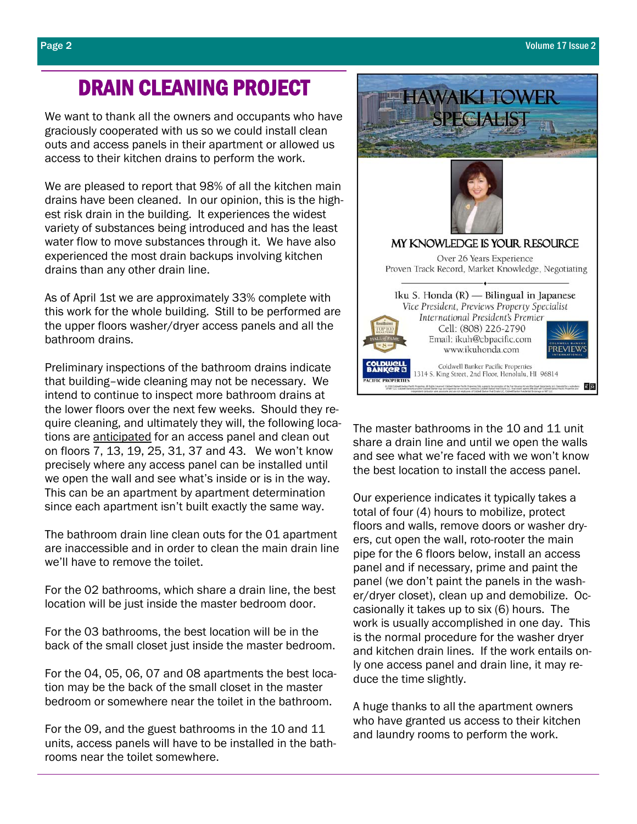## DRAIN CLEANING PROJECT

We want to thank all the owners and occupants who have graciously cooperated with us so we could install clean outs and access panels in their apartment or allowed us access to their kitchen drains to perform the work.

We are pleased to report that 98% of all the kitchen main drains have been cleaned. In our opinion, this is the highest risk drain in the building. It experiences the widest variety of substances being introduced and has the least water flow to move substances through it. We have also experienced the most drain backups involving kitchen drains than any other drain line.

As of April 1st we are approximately 33% complete with this work for the whole building. Still to be performed are the upper floors washer/dryer access panels and all the bathroom drains.

Preliminary inspections of the bathroom drains indicate that building–wide cleaning may not be necessary. We intend to continue to inspect more bathroom drains at the lower floors over the next few weeks. Should they require cleaning, and ultimately they will, the following locations are anticipated for an access panel and clean out on floors 7, 13, 19, 25, 31, 37 and 43. We won't know precisely where any access panel can be installed until we open the wall and see what's inside or is in the way. This can be an apartment by apartment determination since each apartment isn't built exactly the same way.

The bathroom drain line clean outs for the 01 apartment are inaccessible and in order to clean the main drain line we'll have to remove the toilet.

For the 02 bathrooms, which share a drain line, the best location will be just inside the master bedroom door.

For the 03 bathrooms, the best location will be in the back of the small closet just inside the master bedroom.

For the 04, 05, 06, 07 and 08 apartments the best location may be the back of the small closet in the master bedroom or somewhere near the toilet in the bathroom.

For the 09, and the guest bathrooms in the 10 and 11 units, access panels will have to be installed in the bathrooms near the toilet somewhere.



The master bathrooms in the 10 and 11 unit share a drain line and until we open the walls and see what we're faced with we won't know the best location to install the access panel.

Our experience indicates it typically takes a total of four (4) hours to mobilize, protect floors and walls, remove doors or washer dryers, cut open the wall, roto-rooter the main pipe for the 6 floors below, install an access panel and if necessary, prime and paint the panel (we don't paint the panels in the washer/dryer closet), clean up and demobilize. Occasionally it takes up to six (6) hours. The work is usually accomplished in one day. This is the normal procedure for the washer dryer and kitchen drain lines. If the work entails only one access panel and drain line, it may reduce the time slightly.

A huge thanks to all the apartment owners who have granted us access to their kitchen and laundry rooms to perform the work.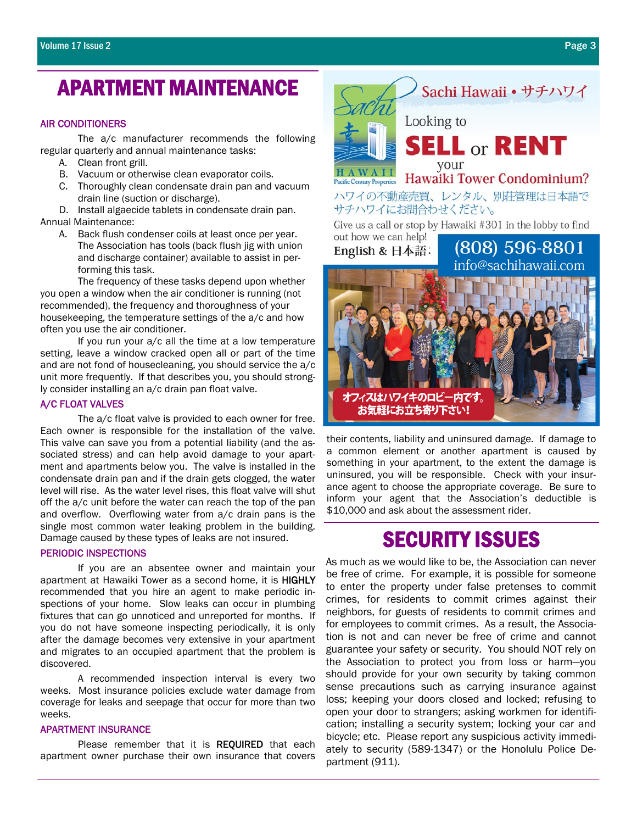# APARTMENT MAINTENANCE

#### AIR CONDITIONERS

 The a/c manufacturer recommends the following regular quarterly and annual maintenance tasks:

- A. Clean front grill.
- B. Vacuum or otherwise clean evaporator coils.
- C. Thoroughly clean condensate drain pan and vacuum drain line (suction or discharge).

D. Install algaecide tablets in condensate drain pan. Annual Maintenance:

A. Back flush condenser coils at least once per year. The Association has tools (back flush jig with union and discharge container) available to assist in performing this task.

 The frequency of these tasks depend upon whether you open a window when the air conditioner is running (not recommended), the frequency and thoroughness of your housekeeping, the temperature settings of the a/c and how often you use the air conditioner.

 If you run your a/c all the time at a low temperature setting, leave a window cracked open all or part of the time and are not fond of housecleaning, you should service the a/c unit more frequently. If that describes you, you should strongly consider installing an a/c drain pan float valve.

#### A/C FLOAT VALVES

 The a/c float valve is provided to each owner for free. Each owner is responsible for the installation of the valve. This valve can save you from a potential liability (and the associated stress) and can help avoid damage to your apartment and apartments below you. The valve is installed in the condensate drain pan and if the drain gets clogged, the water level will rise. As the water level rises, this float valve will shut off the a/c unit before the water can reach the top of the pan and overflow. Overflowing water from a/c drain pans is the single most common water leaking problem in the building. Damage caused by these types of leaks are not insured.

#### PERIODIC INSPECTIONS

 If you are an absentee owner and maintain your apartment at Hawaiki Tower as a second home, it is HIGHLY recommended that you hire an agent to make periodic inspections of your home. Slow leaks can occur in plumbing fixtures that can go unnoticed and unreported for months. If you do not have someone inspecting periodically, it is only after the damage becomes very extensive in your apartment and migrates to an occupied apartment that the problem is discovered.

 A recommended inspection interval is every two weeks. Most insurance policies exclude water damage from coverage for leaks and seepage that occur for more than two weeks.

#### APARTMENT INSURANCE

Please remember that it is REQUIRED that each apartment owner purchase their own insurance that covers



their contents, liability and uninsured damage. If damage to a common element or another apartment is caused by something in your apartment, to the extent the damage is uninsured, you will be responsible. Check with your insurance agent to choose the appropriate coverage. Be sure to inform your agent that the Association's deductible is \$10,000 and ask about the assessment rider.

# SECURITY ISSUES

As much as we would like to be, the Association can never be free of crime. For example, it is possible for someone to enter the property under false pretenses to commit crimes, for residents to commit crimes against their neighbors, for guests of residents to commit crimes and for employees to commit crimes. As a result, the Association is not and can never be free of crime and cannot guarantee your safety or security. You should NOT rely on the Association to protect you from loss or harm—you should provide for your own security by taking common sense precautions such as carrying insurance against loss; keeping your doors closed and locked; refusing to open your door to strangers; asking workmen for identification; installing a security system; locking your car and bicycle; etc. Please report any suspicious activity immediately to security (589-1347) or the Honolulu Police Department (911).